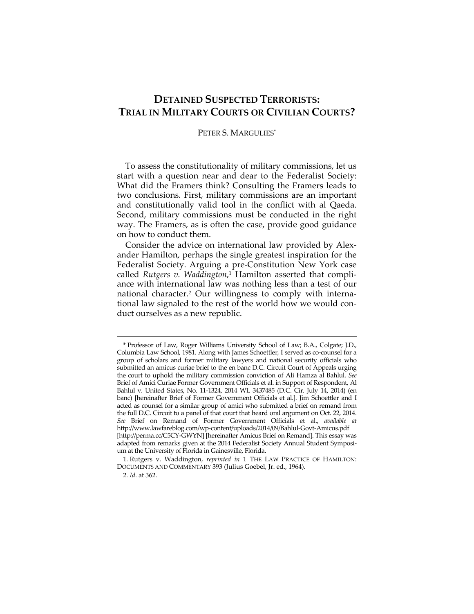## **DETAINED SUSPECTED TERRORISTS: TRIAL IN MILITARY COURTS OR CIVILIAN COURTS?**

## PETER S. MARGULIES\*

To assess the constitutionality of military commissions, let us start with a question near and dear to the Federalist Society: What did the Framers think? Consulting the Framers leads to two conclusions. First, military commissions are an important and constitutionally valid tool in the conflict with al Qaeda. Second, military commissions must be conducted in the right way. The Framers, as is often the case, provide good guidance on how to conduct them.

Consider the advice on international law provided by Alexander Hamilton, perhaps the single greatest inspiration for the Federalist Society. Arguing a pre-Constitution New York case called *Rutgers v. Waddington*, 1 Hamilton asserted that compliance with international law was nothing less than a test of our national character.2 Our willingness to comply with international law signaled to the rest of the world how we would conduct ourselves as a new republic.

<sup>\*</sup> Professor of Law, Roger Williams University School of Law; B.A., Colgate; J.D., Columbia Law School, 1981. Along with James Schoettler, I served as co-counsel for a group of scholars and former military lawyers and national security officials who submitted an amicus curiae brief to the en banc D.C. Circuit Court of Appeals urging the court to uphold the military commission conviction of Ali Hamza al Bahlul. *See*  Brief of Amici Curiae Former Government Officials et al. in Support of Respondent, Al Bahlul v. United States, No. 11-1324, 2014 WL 3437485 (D.C. Cir. July 14, 2014) (en banc) [hereinafter Brief of Former Government Officials et al.]. Jim Schoettler and I acted as counsel for a similar group of amici who submitted a brief on remand from the full D.C. Circuit to a panel of that court that heard oral argument on Oct. 22, 2014. *See* Brief on Remand of Former Government Officials et al., *available at* http://www.lawfareblog.com/wp-content/uploads/2014/09/Bahlul-Govt-Amicus.pdf [http://perma.cc/C5CY-GWYN] [hereinafter Amicus Brief on Remand]. This essay was adapted from remarks given at the 2014 Federalist Society Annual Student Symposium at the University of Florida in Gainesville, Florida.

<sup>1</sup>*.* Rutgers v. Waddington, *reprinted in* 1 THE LAW PRACTICE OF HAMILTON: DOCUMENTS AND COMMENTARY 393 (Julius Goebel, Jr. ed., 1964).

<sup>2</sup>*. Id*. at 362.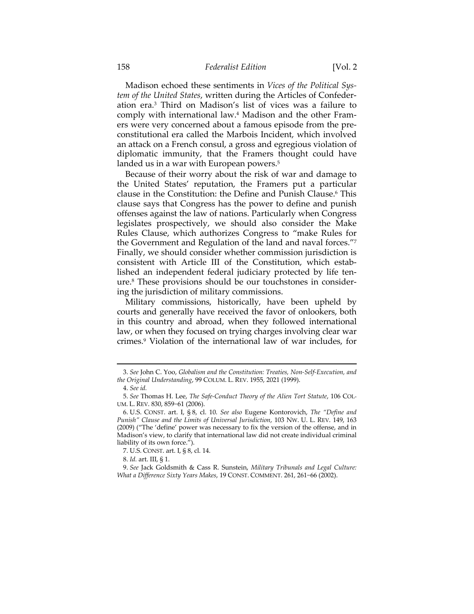## 158 *Federalist Edition* [Vol. 2

Madison echoed these sentiments in *Vices of the Political System of the United States*, written during the Articles of Confederation era.3 Third on Madison's list of vices was a failure to comply with international law.4 Madison and the other Framers were very concerned about a famous episode from the preconstitutional era called the Marbois Incident, which involved an attack on a French consul, a gross and egregious violation of diplomatic immunity, that the Framers thought could have landed us in a war with European powers.<sup>5</sup>

Because of their worry about the risk of war and damage to the United States' reputation, the Framers put a particular clause in the Constitution: the Define and Punish Clause.6 This clause says that Congress has the power to define and punish offenses against the law of nations. Particularly when Congress legislates prospectively, we should also consider the Make Rules Clause, which authorizes Congress to "make Rules for the Government and Regulation of the land and naval forces."7 Finally, we should consider whether commission jurisdiction is consistent with Article III of the Constitution, which established an independent federal judiciary protected by life tenure.8 These provisions should be our touchstones in considering the jurisdiction of military commissions.

Military commissions, historically, have been upheld by courts and generally have received the favor of onlookers, both in this country and abroad, when they followed international law, or when they focused on trying charges involving clear war crimes.9 Violation of the international law of war includes, for

<sup>&</sup>lt;u> 1989 - Johann Barn, mars ar breithinn ar chuid ann an t-Alban ann an t-Alban ann an t-Alban ann an t-Alban a</u> 3. *See* John C. Yoo, *Globalism and the Constitution: Treaties, Non-Self-Execution, and the Original Understanding*, 99 COLUM. L. REV. 1955, 2021 (1999).

 <sup>4.</sup> *See id.*

 <sup>5.</sup> *See* Thomas H. Lee, *The Safe-Conduct Theory of the Alien Tort Statute*, 106 COL-UM. L. REV. 830, 859−61 (2006).

 <sup>6.</sup> U.S. CONST. art. I, § 8, cl. 10. *See also* Eugene Kontorovich, *The "Define and Punish" Clause and the Limits of Universal Jurisdiction*, 103 NW. U. L. REV. 149, 163 (2009) ("The 'define' power was necessary to fix the version of the offense, and in Madison's view, to clarify that international law did not create individual criminal liability of its own force.").

 <sup>7.</sup> U.S. CONST. art. I, § 8, cl. 14.

 <sup>8.</sup> *Id.* art. III, § 1.

 <sup>9.</sup> *See* Jack Goldsmith & Cass R. Sunstein, *Military Tribunals and Legal Culture: What a Difference Sixty Years Makes*, 19 CONST. COMMENT. 261, 261−66 (2002).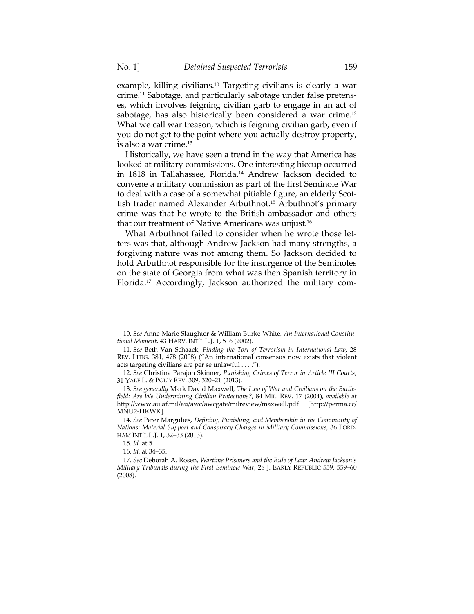example, killing civilians.10 Targeting civilians is clearly a war crime.11 Sabotage, and particularly sabotage under false pretenses, which involves feigning civilian garb to engage in an act of sabotage, has also historically been considered a war crime.<sup>12</sup> What we call war treason, which is feigning civilian garb, even if you do not get to the point where you actually destroy property, is also a war crime.13

Historically, we have seen a trend in the way that America has looked at military commissions. One interesting hiccup occurred in 1818 in Tallahassee, Florida.14 Andrew Jackson decided to convene a military commission as part of the first Seminole War to deal with a case of a somewhat pitiable figure, an elderly Scottish trader named Alexander Arbuthnot.15 Arbuthnot's primary crime was that he wrote to the British ambassador and others that our treatment of Native Americans was unjust.16

What Arbuthnot failed to consider when he wrote those letters was that, although Andrew Jackson had many strengths, a forgiving nature was not among them. So Jackson decided to hold Arbuthnot responsible for the insurgence of the Seminoles on the state of Georgia from what was then Spanish territory in Florida.17 Accordingly, Jackson authorized the military com-

<sup>&</sup>lt;u> 1989 - Johann Barn, mars ar breithinn ar chuid ann an t-Alban ann an t-Alban ann an t-Alban ann an t-Alban a</u> 10. *See* Anne-Marie Slaughter & William Burke-White*, An International Constitutional Moment*, 43 HARV. INT'L L.J. 1, 5−6 (2002).

<sup>11</sup>*. See* Beth Van Schaack*, Finding the Tort of Terrorism in International Law*, 28 REV. LITIG. 381, 478 (2008) ("An international consensus now exists that violent acts targeting civilians are per se unlawful . . . .").

 <sup>12.</sup> *See* Christina Parajon Skinner, *Punishing Crimes of Terror in Article III Courts*, 31 YALE L. & POL'Y REV. 309, 320−21 (2013).

<sup>13</sup>*. See generally* Mark David Maxwell*, The Law of War and Civilians on the Battlefield: Are We Undermining Civilian Protections?*, 84 MIL. REV. 17 (2004), *available at* http://www.au.af.mil/au/awc/awcgate/milreview/maxwell.pdf [http://perma.cc/ MNU2-HKWK].

 <sup>14.</sup> *See* Peter Margulies, *Defining, Punishing, and Membership in the Community of Nations: Material Support and Conspiracy Charges in Military Commissions*, 36 FORD-HAM INT'L L.J. 1, 32−33 (2013).

<sup>15</sup>*. Id.* at 5.

<sup>16</sup>*. Id.* at 34–35.

 <sup>17.</sup> *See* Deborah A. Rosen, *Wartime Prisoners and the Rule of Law: Andrew Jackson's Military Tribunals during the First Seminole War*, 28 J. EARLY REPUBLIC 559, 559–60 (2008).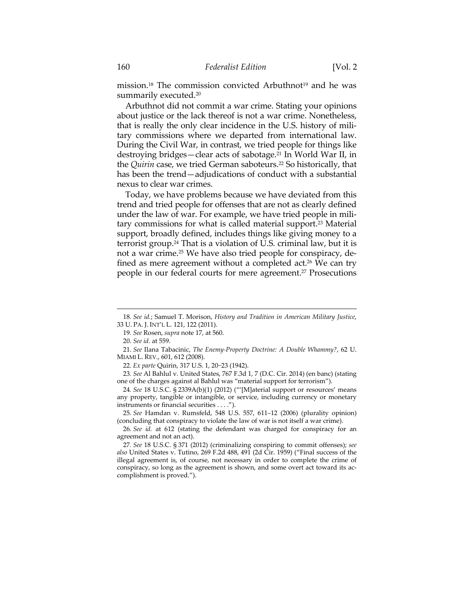mission.<sup>18</sup> The commission convicted Arbuthnot<sup>19</sup> and he was summarily executed.<sup>20</sup>

Arbuthnot did not commit a war crime. Stating your opinions about justice or the lack thereof is not a war crime. Nonetheless, that is really the only clear incidence in the U.S. history of military commissions where we departed from international law. During the Civil War, in contrast, we tried people for things like destroying bridges—clear acts of sabotage.<sup>21</sup> In World War II, in the *Quirin* case, we tried German saboteurs.<sup>22</sup> So historically, that has been the trend—adjudications of conduct with a substantial nexus to clear war crimes.

Today, we have problems because we have deviated from this trend and tried people for offenses that are not as clearly defined under the law of war. For example, we have tried people in military commissions for what is called material support.23 Material support, broadly defined, includes things like giving money to a terrorist group.24 That is a violation of U.S. criminal law, but it is not a war crime.25 We have also tried people for conspiracy, defined as mere agreement without a completed act.<sup>26</sup> We can try people in our federal courts for mere agreement.<sup>27</sup> Prosecutions

<sup>&</sup>lt;u> 1989 - Johann Barn, mars ar breithinn ar chuid ann an t-Alban ann an t-Alban ann an t-Alban ann an t-Alban a</u> 18*. See id.*; Samuel T. Morison, *History and Tradition in American Military Justice*, 33 U. PA. J. INT'L L. 121, 122 (2011).

<sup>19</sup>*. See* Rosen, *supra* note 17, at 560.

 <sup>20.</sup> *See id.* at 559.

 <sup>21.</sup> *See* Ilana Tabacinic, *The Enemy-Property Doctrine: A Double Whammy?*, 62 U. MIAMI L. REV., 601, 612 (2008).

<sup>22</sup>*. Ex parte* Quirin, 317 U.S. 1, 20−23 (1942).

<sup>23</sup>*. See* Al Bahlul v. United States, 767 F.3d 1, 7 (D.C. Cir. 2014) (en banc) (stating one of the charges against al Bahlul was "material support for terrorism").

<sup>24</sup>*. See* 18 U.S.C. § 2339A(b)(1) (2012) ("'[M]aterial support or resources' means any property, tangible or intangible, or service, including currency or monetary instruments or financial securities . . . .").

<sup>25</sup>*. See* Hamdan v. Rumsfeld, 548 U.S. 557, 611–12 (2006) (plurality opinion) (concluding that conspiracy to violate the law of war is not itself a war crime).

<sup>26</sup>*. See id.* at 612 (stating the defendant was charged for conspiracy for an agreement and not an act).

<sup>27</sup>*. See* 18 U.S.C. § 371 (2012) (criminalizing conspiring to commit offenses); *see also* United States v. Tutino, 269 F.2d 488, 491 (2d Cir. 1959) ("Final success of the illegal agreement is, of course, not necessary in order to complete the crime of conspiracy, so long as the agreement is shown, and some overt act toward its accomplishment is proved.").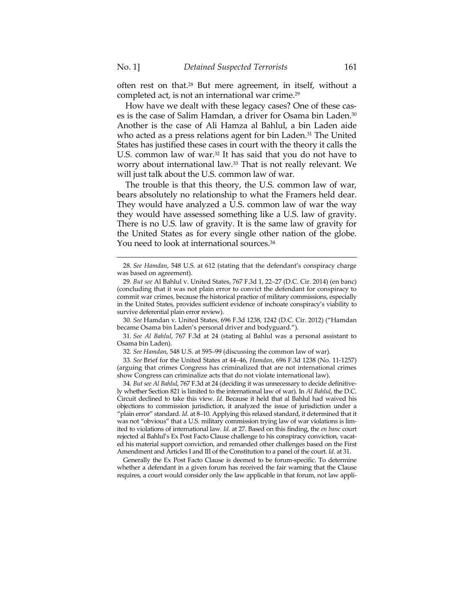often rest on that.28 But mere agreement, in itself, without a completed act, is not an international war crime.29

How have we dealt with these legacy cases? One of these cases is the case of Salim Hamdan, a driver for Osama bin Laden.<sup>30</sup> Another is the case of Ali Hamza al Bahlul, a bin Laden aide who acted as a press relations agent for bin Laden.<sup>31</sup> The United States has justified these cases in court with the theory it calls the U.S. common law of war.<sup>32</sup> It has said that you do not have to worry about international law.33 That is not really relevant. We will just talk about the U.S. common law of war.

The trouble is that this theory, the U.S. common law of war, bears absolutely no relationship to what the Framers held dear. They would have analyzed a U.S. common law of war the way they would have assessed something like a U.S. law of gravity. There is no U.S. law of gravity. It is the same law of gravity for the United States as for every single other nation of the globe. You need to look at international sources.<sup>34</sup>

32*. See Hamdan*, 548 U.S. at 595–99 (discussing the common law of war).

33*. See* Brief for the United States at 44–46, *Hamdan*, 696 F.3d 1238 (No. 11-1257) (arguing that crimes Congress has criminalized that are not international crimes show Congress can criminalize acts that do not violate international law).

34*. But see Al Bahlul*, 767 F.3d at 24 (deciding it was unnecessary to decide definitively whether Section 821 is limited to the international law of war). In *Al Bahlul*, the D.C. Circuit declined to take this view. *Id*. Because it held that al Bahlul had waived his objections to commission jurisdiction, it analyzed the issue of jurisdiction under a "plain error" standard. *Id*. at 8–10. Applying this relaxed standard, it determined that it was not "obvious" that a U.S. military commission trying law of war violations is limited to violations of international law. *Id*. at 27. Based on this finding, the *en banc* court rejected al Bahlul's Ex Post Facto Clause challenge to his conspiracy conviction, vacated his material support conviction, and remanded other challenges based on the First Amendment and Articles I and III of the Constitution to a panel of the court. *Id*. at 31.

 Generally the Ex Post Facto Clause is deemed to be forum-specific. To determine whether a defendant in a given forum has received the fair warning that the Clause requires, a court would consider only the law applicable in that forum, not law appli-

<sup>&</sup>lt;u> 1989 - Johann Stein, marwolaethau a bhann an t-Amhain an t-Amhain an t-Amhain an t-Amhain an t-Amhain an t-A</u> 28*. See Hamdan*, 548 U.S. at 612 (stating that the defendant's conspiracy charge was based on agreement).

<sup>29</sup>*. But see* Al Bahlul v. United States, 767 F.3d 1, 22–27 (D.C. Cir. 2014) (en banc) (concluding that it was not plain error to convict the defendant for conspiracy to commit war crimes, because the historical practice of military commissions, especially in the United States, provides sufficient evidence of inchoate conspiracy's viability to survive deferential plain error review).

<sup>30</sup>*. See* Hamdan v. United States, 696 F.3d 1238, 1242 (D.C. Cir. 2012) ("Hamdan became Osama bin Laden's personal driver and bodyguard.").

<sup>31</sup>*. See Al Bahlul*, 767 F.3d at 24 (stating al Bahlul was a personal assistant to Osama bin Laden).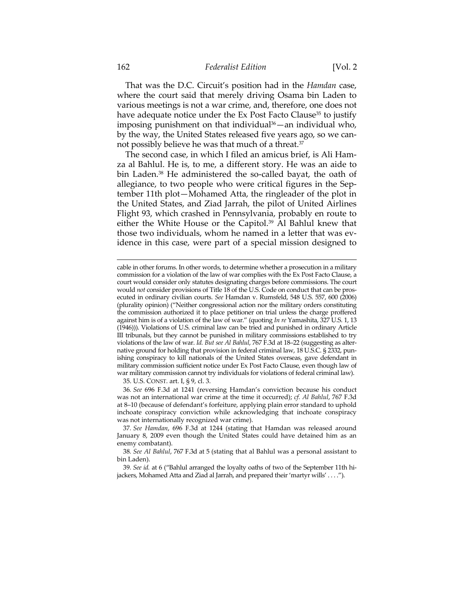That was the D.C. Circuit's position had in the *Hamdan* case, where the court said that merely driving Osama bin Laden to various meetings is not a war crime, and, therefore, one does not have adequate notice under the Ex Post Facto Clause<sup>35</sup> to justify imposing punishment on that individual $36$ —an individual who, by the way, the United States released five years ago, so we cannot possibly believe he was that much of a threat.37

The second case, in which I filed an amicus brief, is Ali Hamza al Bahlul. He is, to me, a different story. He was an aide to bin Laden.38 He administered the so-called bayat, the oath of allegiance, to two people who were critical figures in the September 11th plot—Mohamed Atta, the ringleader of the plot in the United States, and Ziad Jarrah, the pilot of United Airlines Flight 93, which crashed in Pennsylvania, probably en route to either the White House or the Capitol.<sup>39</sup> Al Bahlul knew that those two individuals, whom he named in a letter that was evidence in this case, were part of a special mission designed to

<u> 1989 - Johann Stein, marwolaethau a bhann an t-Amhain an t-Amhain an t-Amhain an t-Amhain an t-Amhain an t-A</u>

35. U.S. CONST. art. I, § 9, cl. 3.

36*. See* 696 F.3d at 1241 (reversing Hamdan's conviction because his conduct was not an international war crime at the time it occurred); *cf. Al Bahlul*, 767 F.3d at 8–10 (because of defendant's forfeiture, applying plain error standard to uphold inchoate conspiracy conviction while acknowledging that inchoate conspiracy was not internationally recognized war crime).

37*. See Hamdan*, 696 F.3d at 1244 (stating that Hamdan was released around January 8, 2009 even though the United States could have detained him as an enemy combatant).

38*. See Al Bahlul*, 767 F.3d at 5 (stating that al Bahlul was a personal assistant to bin Laden).

39*. See id.* at 6 ("Bahlul arranged the loyalty oaths of two of the September 11th hijackers, Mohamed Atta and Ziad al Jarrah, and prepared their 'martyr wills' . . . .").

cable in other forums. In other words, to determine whether a prosecution in a military commission for a violation of the law of war complies with the Ex Post Facto Clause, a court would consider only statutes designating charges before commissions. The court would *not* consider provisions of Title 18 of the U.S. Code on conduct that can be prosecuted in ordinary civilian courts. *See* Hamdan v. Rumsfeld, 548 U.S. 557, 600 (2006) (plurality opinion) ("Neither congressional action nor the military orders constituting the commission authorized it to place petitioner on trial unless the charge proffered against him is of a violation of the law of war." (quoting *In re* Yamashita, 327 U.S. 1, 13 (1946))). Violations of U.S. criminal law can be tried and punished in ordinary Article III tribunals, but they cannot be punished in military commissions established to try violations of the law of war. *Id. But see Al Bahlul*, 767 F.3d at 18–22 (suggesting as alternative ground for holding that provision in federal criminal law, 18 U.S.C. § 2332, punishing conspiracy to kill nationals of the United States overseas, gave defendant in military commission sufficient notice under Ex Post Facto Clause, even though law of war military commission cannot try individuals for violations of federal criminal law).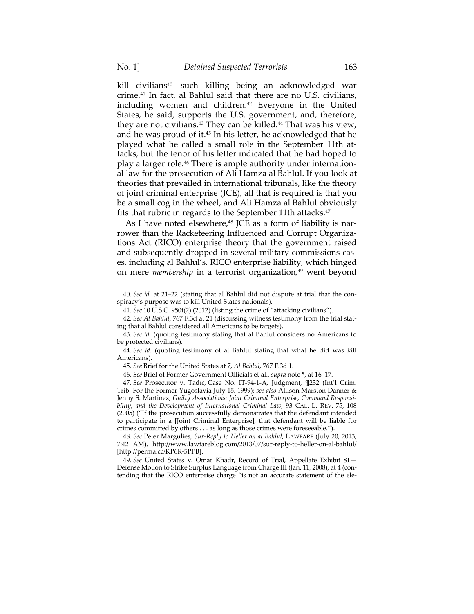kill civilians<sup>40</sup>—such killing being an acknowledged war crime.41 In fact, al Bahlul said that there are no U.S. civilians, including women and children.<sup>42</sup> Everyone in the United States, he said, supports the U.S. government, and, therefore, they are not civilians.43 They can be killed.44 That was his view, and he was proud of it.45 In his letter, he acknowledged that he played what he called a small role in the September 11th attacks, but the tenor of his letter indicated that he had hoped to play a larger role.46 There is ample authority under international law for the prosecution of Ali Hamza al Bahlul. If you look at theories that prevailed in international tribunals, like the theory of joint criminal enterprise (JCE), all that is required is that you be a small cog in the wheel, and Ali Hamza al Bahlul obviously fits that rubric in regards to the September 11th attacks.<sup>47</sup>

As I have noted elsewhere, $48$  JCE as a form of liability is narrower than the Racketeering Influenced and Corrupt Organizations Act (RICO) enterprise theory that the government raised and subsequently dropped in several military commissions cases, including al Bahlul's. RICO enterprise liability, which hinged on mere *membership* in a terrorist organization,<sup>49</sup> went beyond

<sup>&</sup>lt;u> 1989 - Johann Barn, mars ar breithinn ar chuid ann an t-Alban ann an t-Alban ann an t-Alban ann an t-Alban a</u> 40. *See id.* at 21–22 (stating that al Bahlul did not dispute at trial that the conspiracy's purpose was to kill United States nationals).

<sup>41.</sup> *See* 10 U.S.C. 950t(2) (2012) (listing the crime of "attacking civilians").

<sup>42</sup>*. See Al Bahlul*, 767 F.3d at 21 (discussing witness testimony from the trial stating that al Bahlul considered all Americans to be targets).

<sup>43</sup>*. See id.* (quoting testimony stating that al Bahlul considers no Americans to be protected civilians).

<sup>44</sup>*. See id.* (quoting testimony of al Bahlul stating that what he did was kill Americans).

<sup>45</sup>*. See* Brief for the United States at 7, *Al Bahlul*, 767 F.3d 1.

<sup>46</sup>*. See* Brief of Former Government Officials et al., *supra* note \*, at 16–17.

<sup>47</sup>*. See* Prosecutor v. Tadíc*,* Case No. IT-94-1-A, Judgment, ¶232 (Int'l Crim. Trib. For the Former Yugoslavia July 15, 1999); *see also* Allison Marston Danner & Jenny S. Martinez, *Guilty Associations: Joint Criminal Enterprise, Command Responsibility, and the Development of International Criminal Law*, 93 CAL. L. REV. 75, 108 (2005) ("If the prosecution successfully demonstrates that the defendant intended to participate in a [Joint Criminal Enterprise], that defendant will be liable for crimes committed by others . . . as long as those crimes were foreseeable.").

<sup>48</sup>*. See* Peter Margulies, *Sur-Reply to Heller on al Bahlul*, LAWFARE (July 20, 2013, 7:42 AM), http://www.lawfareblog.com/2013/07/sur-reply-to-heller-on-al-bahlul/ [http://perma.cc/KP6R-5PPB].

<sup>49</sup>*. See* United States v. Omar Khadr, Record of Trial, Appellate Exhibit 81— Defense Motion to Strike Surplus Language from Charge III (Jan. 11, 2008), at 4 (contending that the RICO enterprise charge "is not an accurate statement of the ele-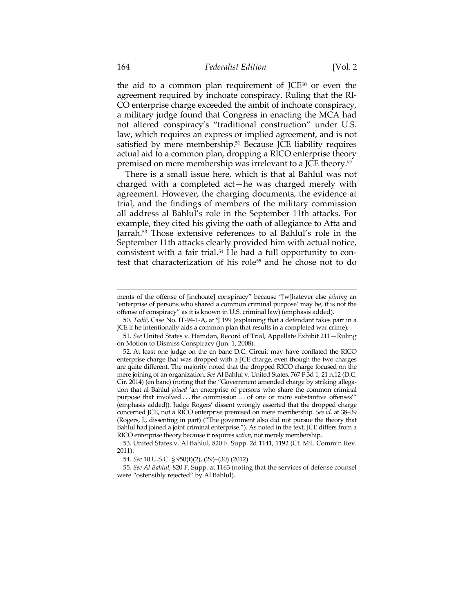the aid to a common plan requirement of  $JCE<sup>50</sup>$  or even the agreement required by inchoate conspiracy. Ruling that the RI-CO enterprise charge exceeded the ambit of inchoate conspiracy, a military judge found that Congress in enacting the MCA had not altered conspiracy's "traditional construction" under U.S. law, which requires an express or implied agreement, and is not satisfied by mere membership.<sup>51</sup> Because JCE liability requires actual aid to a common plan, dropping a RICO enterprise theory premised on mere membership was irrelevant to a JCE theory.52

There is a small issue here, which is that al Bahlul was not charged with a completed act—he was charged merely with agreement. However, the charging documents, the evidence at trial, and the findings of members of the military commission all address al Bahlul's role in the September 11th attacks. For example, they cited his giving the oath of allegiance to Atta and Jarrah.53 Those extensive references to al Bahlul's role in the September 11th attacks clearly provided him with actual notice, consistent with a fair trial. $54$  He had a full opportunity to contest that characterization of his role<sup>55</sup> and he chose not to do

ments of the offense of [inchoate] conspiracy" because "[w]hatever else *joining* an 'enterprise of persons who shared a common criminal purpose' may be, it is not the offense of conspiracy" as it is known in U.S. criminal law) (emphasis added).

<sup>50</sup>*. Tadić*, Case No. IT-94-1-A, at ¶ 199 (explaining that a defendant takes part in a JCE if he intentionally aids a common plan that results in a completed war crime).

<sup>51</sup>*. See* United States v. Hamdan, Record of Trial, Appellate Exhibit 211—Ruling on Motion to Dismiss Conspiracy (Jun. 1, 2008).

 <sup>52.</sup> At least one judge on the en banc D.C. Circuit may have conflated the RICO enterprise charge that was dropped with a JCE charge, even though the two charges are quite different. The majority noted that the dropped RICO charge focused on the mere joining of an organization. *See* Al Bahlul v. United States, 767 F.3d 1, 21 n.12 (D.C. Cir. 2014) (en banc) (noting that the "Government amended charge by striking allegation that al Bahlul *joined* 'an enterprise of persons who share the common criminal purpose that involved . . . the commission . . . of one or more substantive offenses'" (emphasis added)). Judge Rogers' dissent wrongly asserted that the dropped charge concerned JCE, not a RICO enterprise premised on mere membership. *See id*. at 38–39 (Rogers, J., dissenting in part) ("The government also did not pursue the theory that Bahlul had joined a joint criminal enterprise."). As noted in the text, JCE differs from a RICO enterprise theory because it requires *action*, not merely membership.

 <sup>53.</sup> United States v. Al Bahlul*,* 820 F. Supp. 2d 1141, 1192 (Ct. Mil. Comm'n Rev. 2011).

<sup>54</sup>*. See* 10 U.S.C. § 950(t)(2), (29)–(30) (2012).

<sup>55</sup>*. See Al Bahlul*, 820 F. Supp. at 1163 (noting that the services of defense counsel were "ostensibly rejected" by Al Bahlul).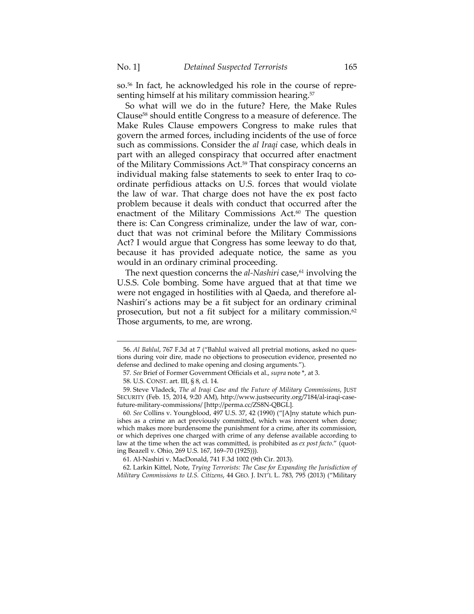so.56 In fact, he acknowledged his role in the course of representing himself at his military commission hearing.<sup>57</sup>

So what will we do in the future? Here, the Make Rules Clause58 should entitle Congress to a measure of deference. The Make Rules Clause empowers Congress to make rules that govern the armed forces, including incidents of the use of force such as commissions. Consider the *al Iraqi* case, which deals in part with an alleged conspiracy that occurred after enactment of the Military Commissions Act.59 That conspiracy concerns an individual making false statements to seek to enter Iraq to coordinate perfidious attacks on U.S. forces that would violate the law of war. That charge does not have the ex post facto problem because it deals with conduct that occurred after the enactment of the Military Commissions Act.<sup>60</sup> The question there is: Can Congress criminalize, under the law of war, conduct that was not criminal before the Military Commissions Act? I would argue that Congress has some leeway to do that, because it has provided adequate notice, the same as you would in an ordinary criminal proceeding.

The next question concerns the *al-Nashiri* case,<sup>61</sup> involving the U.S.S. Cole bombing. Some have argued that at that time we were not engaged in hostilities with al Qaeda, and therefore al-Nashiri's actions may be a fit subject for an ordinary criminal prosecution, but not a fit subject for a military commission.<sup>62</sup> Those arguments, to me, are wrong.

<u> 1989 - Johann Barn, mars ar breithinn ar chuid ann an t-Alban ann an t-Alban ann an t-Alban ann an t-Alban a</u>

 <sup>56.</sup> *Al Bahlul*, 767 F.3d at 7 ("Bahlul waived all pretrial motions, asked no questions during voir dire, made no objections to prosecution evidence, presented no defense and declined to make opening and closing arguments.").

<sup>57</sup>*. See* Brief of Former Government Officials et al., *supra* note \*, at 3.

 <sup>58.</sup> U.S. CONST. art. III, § 8, cl. 14.

 <sup>59.</sup> Steve Vladeck, *The al Iraqi Case and the Future of Military Commissions*, JUST SECURITY (Feb. 15, 2014, 9:20 AM), http://www.justsecurity.org/7184/al-iraqi-casefuture-military-commissions/ [http://perma.cc/ZS8N-QBGL].

<sup>60</sup>*. See* Collins v. Youngblood, 497 U.S. 37, 42 (1990) ("[A]ny statute which punishes as a crime an act previously committed, which was innocent when done; which makes more burdensome the punishment for a crime, after its commission, or which deprives one charged with crime of any defense available according to law at the time when the act was committed, is prohibited as *ex post facto*." (quoting Beazell v. Ohio, 269 U.S. 167, 169–70 (1925))).

 <sup>61.</sup> Al-Nashiri v. MacDonald, 741 F.3d 1002 (9th Cir. 2013).

 <sup>62.</sup> Larkin Kittel, Note, *Trying Terrorists: The Case for Expanding the Jurisdiction of Military Commissions to U.S. Citizens*, 44 GEO. J. INT'L L. 783, 795 (2013) ("Military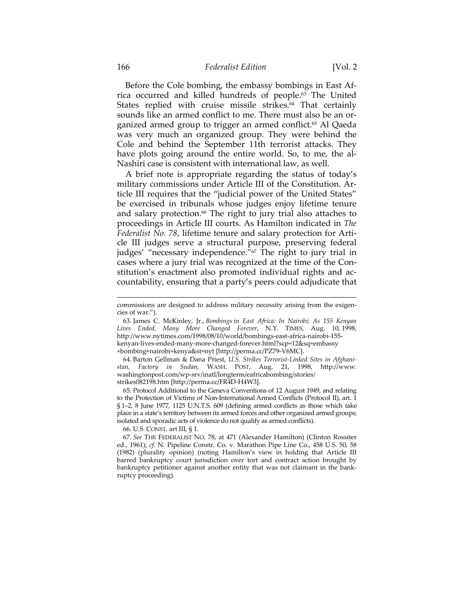Before the Cole bombing, the embassy bombings in East Africa occurred and killed hundreds of people.63 The United States replied with cruise missile strikes.<sup>64</sup> That certainly sounds like an armed conflict to me. There must also be an organized armed group to trigger an armed conflict.<sup>65</sup> Al Qaeda was very much an organized group. They were behind the Cole and behind the September 11th terrorist attacks. They have plots going around the entire world. So, to me, the al-Nashiri case is consistent with international law, as well.

A brief note is appropriate regarding the status of today's military commissions under Article III of the Constitution. Article III requires that the "judicial power of the United States" be exercised in tribunals whose judges enjoy lifetime tenure and salary protection.<sup>66</sup> The right to jury trial also attaches to proceedings in Article III courts. As Hamilton indicated in *The Federalist No. 78*, lifetime tenure and salary protection for Article III judges serve a structural purpose, preserving federal judges' "necessary independence."<sup>67</sup> The right to jury trial in cases where a jury trial was recognized at the time of the Constitution's enactment also promoted individual rights and accountability, ensuring that a party's peers could adjudicate that

 64. Barton Gellman & Dana Priest, *U.S. Strikes Terrorist-Linked Sites in Afghanistan, Factory in Sudan*, WASH. POST, Aug. 21, 1998, http://www. washingtonpost.com/wp-srv/inatl/longterm/eafricabombing/stories/ strikes082198.htm [http://perma.cc/FR4D-H4W3].

 65. Protocol Additional to the Geneva Conventions of 12 August 1949, and relating to the Protection of Victims of Non-International Armed Conflicts (Protocol II), art. 1 § 1–2, 8 June 1977, 1125 U.N.T.S. 609 (defining armed conflicts as those which take place in a state's territory between its armed forces and other organized armed groups; isolated and sporadic acts of violence do not qualify as armed conflicts).

66. U.S. CONST. art III, § 1.

67. *See* THE FEDERALIST NO. 78, at 471 (Alexander Hamilton) (Clinton Rossiter ed., 1961); *cf.* N. Pipeline Constr. Co. v. Marathon Pipe Line Co., 458 U.S. 50, 58 (1982) (plurality opinion) (noting Hamilton's view in holding that Article III barred bankruptcy court jurisdiction over tort and contract action brought by bankruptcy petitioner against another entity that was not claimant in the bankruptcy proceeding).

<sup>&</sup>lt;u> 1989 - Johann Barn, mars ar breithinn ar chuid ann an t-Alban ann an t-Alban ann an t-Alban ann an t-Alban a</u> commissions are designed to address military necessity arising from the exigencies of war.").

 <sup>63.</sup> James C. McKinley, Jr., *Bombings in East Africa: In Nairobi; As 155 Kenyan Lives Ended, Many More Changed Forever*, N.Y. TIMES, Aug. 10, 1998, http://www.nytimes.com/1998/08/10/world/bombings-east-africa-nairobi-155 kenyan-lives-ended-many-more-changed-forever.html?scp=12&sq=embassy +bombing+nairobi+kenya&st=nyt [http://perma.cc/PZ79-V6MC].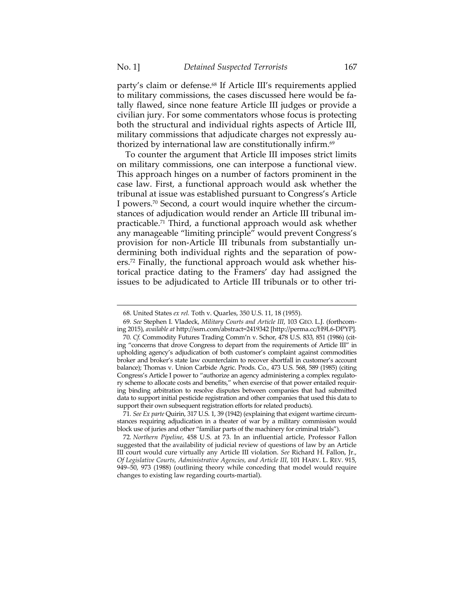party's claim or defense.68 If Article III's requirements applied to military commissions, the cases discussed here would be fatally flawed, since none feature Article III judges or provide a civilian jury. For some commentators whose focus is protecting both the structural and individual rights aspects of Article III, military commissions that adjudicate charges not expressly authorized by international law are constitutionally infirm.<sup>69</sup>

To counter the argument that Article III imposes strict limits on military commissions, one can interpose a functional view. This approach hinges on a number of factors prominent in the case law. First, a functional approach would ask whether the tribunal at issue was established pursuant to Congress's Article I powers.70 Second, a court would inquire whether the circumstances of adjudication would render an Article III tribunal impracticable.71 Third, a functional approach would ask whether any manageable "limiting principle" would prevent Congress's provision for non-Article III tribunals from substantially undermining both individual rights and the separation of powers.72 Finally, the functional approach would ask whether historical practice dating to the Framers' day had assigned the issues to be adjudicated to Article III tribunals or to other tri-

<u> 1989 - Johann Stein, marwolaethau a bhann an t-Amhain an t-Amhain an t-Amhain an t-Amhain an t-Amhain an t-A</u>

 <sup>68.</sup> United States *ex rel.* Toth v. Quarles, 350 U.S. 11, 18 (1955).

<sup>69</sup>*. See* Stephen I. Vladeck, *Military Courts and Article III*, 103 GEO. L.J. (forthcoming 2015), *available at* http://ssrn.com/abstract=2419342 [http://perma.cc/H9L6-DPYP]. 70*. Cf.* Commodity Futures Trading Comm'n v. Schor, 478 U.S. 833, 851 (1986) (citing "concerns that drove Congress to depart from the requirements of Article III" in upholding agency's adjudication of both customer's complaint against commodities broker and broker's state law counterclaim to recover shortfall in customer's account

balance); Thomas v. Union Carbide Agric. Prods. Co., 473 U.S. 568, 589 (1985) (citing Congress's Article I power to "authorize an agency administering a complex regulatory scheme to allocate costs and benefits," when exercise of that power entailed requiring binding arbitration to resolve disputes between companies that had submitted data to support initial pesticide registration and other companies that used this data to support their own subsequent registration efforts for related products).

<sup>71</sup>*. See Ex parte* Quirin, 317 U.S. 1, 39 (1942) (explaining that exigent wartime circumstances requiring adjudication in a theater of war by a military commission would block use of juries and other "familiar parts of the machinery for criminal trials").

<sup>72</sup>*. Northern Pipeline*, 458 U.S. at 73. In an influential article, Professor Fallon suggested that the availability of judicial review of questions of law by an Article III court would cure virtually any Article III violation. *See* Richard H. Fallon, Jr., *Of Legislative Courts, Administrative Agencies, and Article III*, 101 HARV. L. REV. 915, 949–50, 973 (1988) (outlining theory while conceding that model would require changes to existing law regarding courts-martial).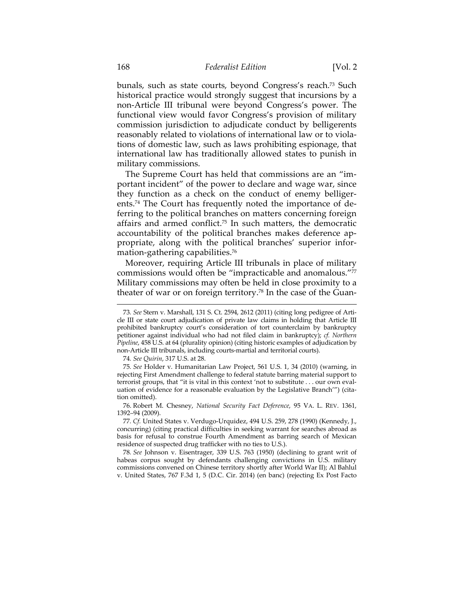bunals, such as state courts, beyond Congress's reach.<sup>73</sup> Such historical practice would strongly suggest that incursions by a non-Article III tribunal were beyond Congress's power. The functional view would favor Congress's provision of military commission jurisdiction to adjudicate conduct by belligerents reasonably related to violations of international law or to violations of domestic law, such as laws prohibiting espionage, that international law has traditionally allowed states to punish in military commissions.

The Supreme Court has held that commissions are an "important incident" of the power to declare and wage war, since they function as a check on the conduct of enemy belligerents.74 The Court has frequently noted the importance of deferring to the political branches on matters concerning foreign affairs and armed conflict.75 In such matters, the democratic accountability of the political branches makes deference appropriate, along with the political branches' superior information-gathering capabilities.76

Moreover, requiring Article III tribunals in place of military commissions would often be "impracticable and anomalous."77 Military commissions may often be held in close proximity to a theater of war or on foreign territory.78 In the case of the Guan-

74*. See Quirin*, 317 U.S. at 28.

<sup>73</sup>*. See* Stern v. Marshall, 131 S. Ct. 2594, 2612 (2011) (citing long pedigree of Article III or state court adjudication of private law claims in holding that Article III prohibited bankruptcy court's consideration of tort counterclaim by bankruptcy petitioner against individual who had not filed claim in bankruptcy); *cf. Northern Pipeline*, 458 U.S. at 64 (plurality opinion) (citing historic examples of adjudication by non-Article III tribunals, including courts-martial and territorial courts).

<sup>75</sup>*. See* Holder v. Humanitarian Law Project, 561 U.S. 1, 34 (2010) (warning, in rejecting First Amendment challenge to federal statute barring material support to terrorist groups, that "it is vital in this context 'not to substitute . . . our own evaluation of evidence for a reasonable evaluation by the Legislative Branch'") (citation omitted).

 <sup>76.</sup> Robert M. Chesney, *National Security Fact Deference*, 95 VA. L. REV. 1361, 1392–94 (2009).

<sup>77</sup>*. Cf.* United States v. Verdugo-Urquidez, 494 U.S. 259, 278 (1990) (Kennedy, J., concurring) (citing practical difficulties in seeking warrant for searches abroad as basis for refusal to construe Fourth Amendment as barring search of Mexican residence of suspected drug trafficker with no ties to U.S.).

<sup>78</sup>*. See* Johnson v. Eisentrager, 339 U.S. 763 (1950) (declining to grant writ of habeas corpus sought by defendants challenging convictions in U.S. military commissions convened on Chinese territory shortly after World War II); Al Bahlul v. United States, 767 F.3d 1, 5 (D.C. Cir. 2014) (en banc) (rejecting Ex Post Facto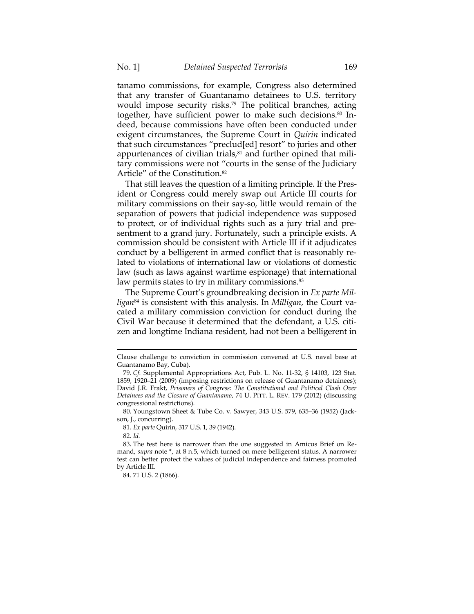tanamo commissions, for example, Congress also determined that any transfer of Guantanamo detainees to U.S. territory would impose security risks.<sup>79</sup> The political branches, acting together, have sufficient power to make such decisions.<sup>80</sup> Indeed, because commissions have often been conducted under exigent circumstances, the Supreme Court in *Quirin* indicated that such circumstances "preclud[ed] resort" to juries and other appurtenances of civilian trials, $81$  and further opined that military commissions were not "courts in the sense of the Judiciary Article" of the Constitution.82

That still leaves the question of a limiting principle. If the President or Congress could merely swap out Article III courts for military commissions on their say-so, little would remain of the separation of powers that judicial independence was supposed to protect, or of individual rights such as a jury trial and presentment to a grand jury. Fortunately, such a principle exists. A commission should be consistent with Article III if it adjudicates conduct by a belligerent in armed conflict that is reasonably related to violations of international law or violations of domestic law (such as laws against wartime espionage) that international law permits states to try in military commissions.<sup>83</sup>

The Supreme Court's groundbreaking decision in *Ex parte Milligan*84 is consistent with this analysis. In *Milligan*, the Court vacated a military commission conviction for conduct during the Civil War because it determined that the defendant, a U.S. citizen and longtime Indiana resident, had not been a belligerent in

 Clause challenge to conviction in commission convened at U.S. naval base at Guantanamo Bay, Cuba).

<sup>79</sup>*. Cf.* Supplemental Appropriations Act, Pub. L. No. 11-32, § 14103, 123 Stat. 1859, 1920–21 (2009) (imposing restrictions on release of Guantanamo detainees); David J.R. Frakt, *Prisoners of Congress: The Constitutional and Political Clash Over Detainees and the Closure of Guantanamo*, 74 U. PITT. L. REV. 179 (2012) (discussing congressional restrictions).

 <sup>80.</sup> Youngstown Sheet & Tube Co. v. Sawyer, 343 U.S. 579, 635–36 (1952) (Jackson, J., concurring).

<sup>81</sup>*. Ex parte* Quirin, 317 U.S. 1, 39 (1942).

 <sup>82.</sup> *Id.*

 <sup>83.</sup> The test here is narrower than the one suggested in Amicus Brief on Remand, *supra* note \*, at 8 n.5, which turned on mere belligerent status. A narrower test can better protect the values of judicial independence and fairness promoted by Article III.

 <sup>84. 71</sup> U.S. 2 (1866).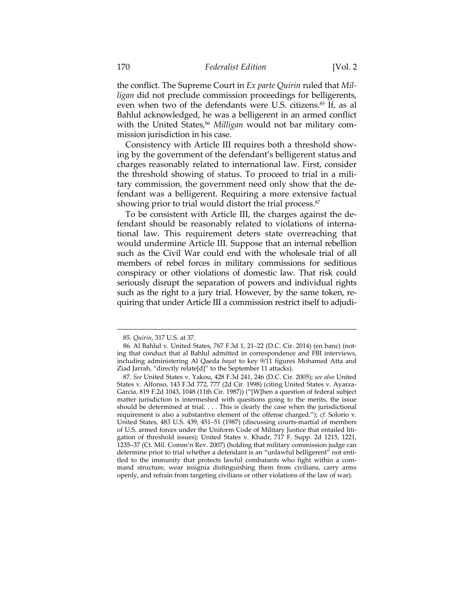the conflict. The Supreme Court in *Ex parte Quirin* ruled that *Milligan* did not preclude commission proceedings for belligerents, even when two of the defendants were U.S. citizens.<sup>85</sup> If, as al Bahlul acknowledged, he was a belligerent in an armed conflict with the United States,<sup>86</sup> Milligan would not bar military commission jurisdiction in his case.

Consistency with Article III requires both a threshold showing by the government of the defendant's belligerent status and charges reasonably related to international law. First, consider the threshold showing of status. To proceed to trial in a military commission, the government need only show that the defendant was a belligerent. Requiring a more extensive factual showing prior to trial would distort the trial process.<sup>87</sup>

To be consistent with Article III, the charges against the defendant should be reasonably related to violations of international law. This requirement deters state overreaching that would undermine Article III. Suppose that an internal rebellion such as the Civil War could end with the wholesale trial of all members of rebel forces in military commissions for seditious conspiracy or other violations of domestic law. That risk could seriously disrupt the separation of powers and individual rights such as the right to a jury trial. However, by the same token, requiring that under Article III a commission restrict itself to adjudi-

<u> 1989 - Johann Stein, marwolaethau a bhann an t-Amhain an t-Amhain an t-Amhain an t-Amhain an t-Amhain an t-A</u>

<sup>85</sup>*. Quirin*, 317 U.S. at 37.

<sup>86</sup>*.* Al Bahlul v. United States, 767 F.3d 1, 21–22 (D.C. Cir. 2014) (en banc) (noting that conduct that al Bahlul admitted in correspondence and FBI interviews, including administering Al Qaeda *bayat* to key 9/11 figures Mohamed Atta and Ziad Jarrah, "directly relate[d]" to the September 11 attacks).

<sup>87</sup>*. See* United States v. Yakou, 428 F.3d 241, 246 (D.C. Cir. 2005); *see also* United States v. Alfonso, 143 F.3d 772, 777 (2d Cir. 1998) (citing United States v. Ayarza-Garcia, 819 F.2d 1043, 1048 (11th Cir. 1987)) ("[W]hen a question of federal subject matter jurisdiction is intermeshed with questions going to the merits, the issue should be determined at trial. . . . This is clearly the case when the jurisdictional requirement is also a substantive element of the offense charged."); *cf.* Solorio v. United States, 483 U.S. 439, 451–51 (1987) (discussing courts-martial of members of U.S. armed forces under the Uniform Code of Military Justice that entailed litigation of threshold issues); United States v. Khadr, 717 F. Supp. 2d 1215, 1221, 1235–37 (Ct. Mil. Comm'n Rev. 2007) (holding that military commission judge can determine prior to trial whether a defendant is an "unlawful belligerent" not entitled to the immunity that protects lawful combatants who fight within a command structure, wear insignia distinguishing them from civilians, carry arms openly, and refrain from targeting civilians or other violations of the law of war).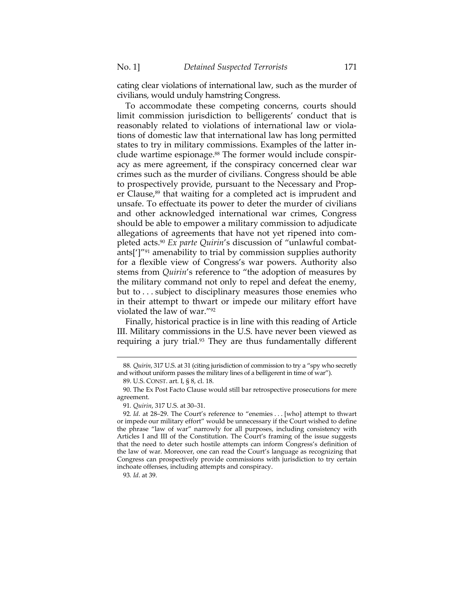cating clear violations of international law, such as the murder of civilians, would unduly hamstring Congress.

To accommodate these competing concerns, courts should limit commission jurisdiction to belligerents' conduct that is reasonably related to violations of international law or violations of domestic law that international law has long permitted states to try in military commissions. Examples of the latter include wartime espionage.<sup>88</sup> The former would include conspiracy as mere agreement, if the conspiracy concerned clear war crimes such as the murder of civilians. Congress should be able to prospectively provide, pursuant to the Necessary and Proper Clause, $89$  that waiting for a completed act is imprudent and unsafe. To effectuate its power to deter the murder of civilians and other acknowledged international war crimes, Congress should be able to empower a military commission to adjudicate allegations of agreements that have not yet ripened into completed acts.90 *Ex parte Quirin*'s discussion of "unlawful combatants[']"91 amenability to trial by commission supplies authority for a flexible view of Congress's war powers. Authority also stems from *Quirin*'s reference to "the adoption of measures by the military command not only to repel and defeat the enemy, but to . . . subject to disciplinary measures those enemies who in their attempt to thwart or impede our military effort have violated the law of war."92

 Finally, historical practice is in line with this reading of Article III. Military commissions in the U.S. have never been viewed as requiring a jury trial.<sup>93</sup> They are thus fundamentally different

<sup>&</sup>lt;u> 1989 - Johann Stein, marwolaethau a bhann an t-Amhain an t-Amhain an t-Amhain an t-Amhain an t-Amhain an t-A</u> 88*. Quirin*, 317 U.S. at 31 (citing jurisdiction of commission to try a "spy who secretly and without uniform passes the military lines of a belligerent in time of war").

 <sup>89.</sup> U.S. CONST. art. I, § 8, cl. 18.

 <sup>90.</sup> The Ex Post Facto Clause would still bar retrospective prosecutions for mere agreement.

<sup>91</sup>*. Quirin*, 317 U.S. at 30–31.

<sup>92</sup>*. Id*. at 28–29. The Court's reference to "enemies . . . [who] attempt to thwart or impede our military effort" would be unnecessary if the Court wished to define the phrase "law of war" narrowly for all purposes, including consistency with Articles I and III of the Constitution. The Court's framing of the issue suggests that the need to deter such hostile attempts can inform Congress's definition of the law of war. Moreover, one can read the Court's language as recognizing that Congress can prospectively provide commissions with jurisdiction to try certain inchoate offenses, including attempts and conspiracy.

<sup>93</sup>*. Id*. at 39.